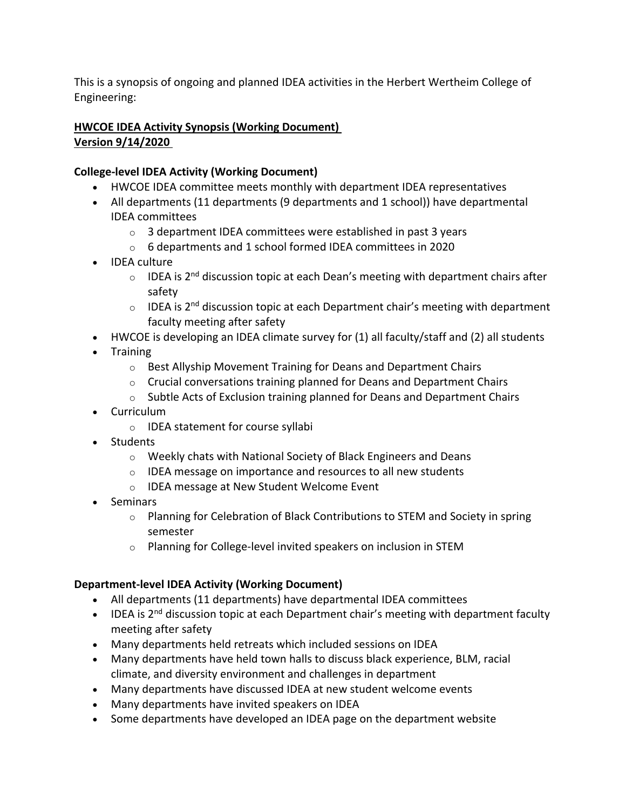This is a synopsis of ongoing and planned IDEA activities in the Herbert Wertheim College of Engineering:

## **HWCOE IDEA Activity Synopsis (Working Document) Version 9/14/2020**

## **College-level IDEA Activity (Working Document)**

- HWCOE IDEA committee meets monthly with department IDEA representatives
- All departments (11 departments (9 departments and 1 school)) have departmental IDEA committees
	- o 3 department IDEA committees were established in past 3 years
	- o 6 departments and 1 school formed IDEA committees in 2020
- IDEA culture
	- $\circ$  IDEA is 2<sup>nd</sup> discussion topic at each Dean's meeting with department chairs after safety
	- $\circ$  IDEA is 2<sup>nd</sup> discussion topic at each Department chair's meeting with department faculty meeting after safety
- HWCOE is developing an IDEA climate survey for (1) all faculty/staff and (2) all students
- Training
	- o Best Allyship Movement Training for Deans and Department Chairs
	- o Crucial conversations training planned for Deans and Department Chairs
	- $\circ$  Subtle Acts of Exclusion training planned for Deans and Department Chairs
- Curriculum
	- o IDEA statement for course syllabi
- Students
	- o Weekly chats with National Society of Black Engineers and Deans
	- o IDEA message on importance and resources to all new students
	- o IDEA message at New Student Welcome Event
- Seminars
	- o Planning for Celebration of Black Contributions to STEM and Society in spring semester
	- o Planning for College-level invited speakers on inclusion in STEM

## **Department-level IDEA Activity (Working Document)**

- All departments (11 departments) have departmental IDEA committees
- IDEA is 2<sup>nd</sup> discussion topic at each Department chair's meeting with department faculty meeting after safety
- Many departments held retreats which included sessions on IDEA
- Many departments have held town halls to discuss black experience, BLM, racial climate, and diversity environment and challenges in department
- Many departments have discussed IDEA at new student welcome events
- Many departments have invited speakers on IDEA
- Some departments have developed an IDEA page on the department website